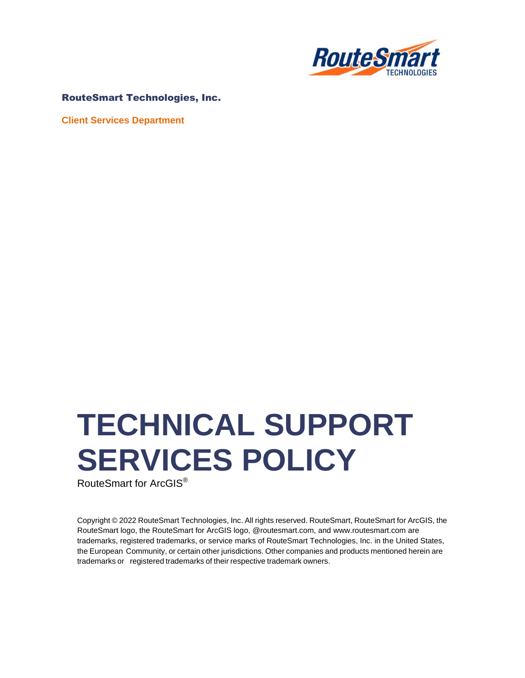

#### RouteSmart Technologies, Inc.

**Client Services Department**

# **TECHNICAL SUPPORT SERVICES POLICY**

RouteSmart for ArcGIS®

Copyright © 2022 RouteSmart Technologies, Inc. All rights reserved. RouteSmart, RouteSmart for ArcGIS, the RouteSmart logo, the RouteSmart for ArcGIS logo, @routesmart.com, an[d www.routesmart.com](http://www.routesmart.com/) are trademarks, registered trademarks, or service marks of RouteSmart Technologies, Inc. in the United States, the European Community, or certain other jurisdictions. Other companies and products mentioned herein are trademarks or registered trademarks of their respective trademark owners.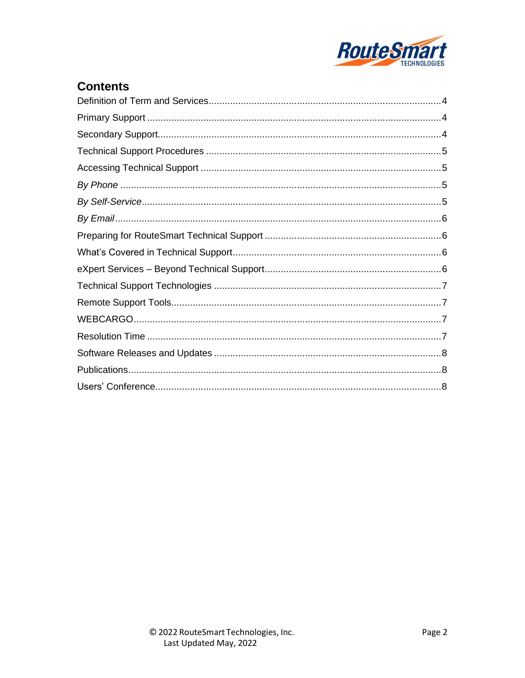

# **Contents**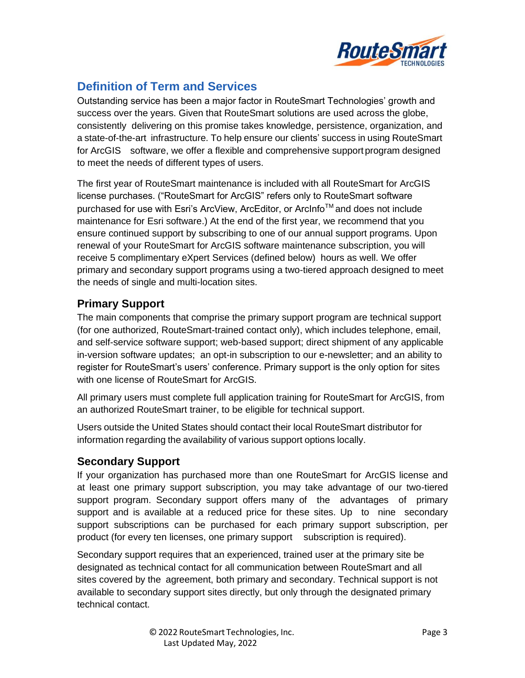

# <span id="page-2-0"></span>**Definition of Term and Services**

Outstanding service has been a major factor in RouteSmart Technologies' growth and success over the years. Given that RouteSmart solutions are used across the globe, consistently delivering on this promise takes knowledge, persistence, organization, and a state-of-the-art infrastructure. To help ensure our clients' success in using RouteSmart for ArcGIS software, we offer a flexible and comprehensive support program designed to meet the needs of different types of users.

The first year of RouteSmart maintenance is included with all RouteSmart for ArcGIS license purchases. ("RouteSmart for ArcGIS" refers only to RouteSmart software purchased for use with Esri's ArcView, ArcEditor, or ArcInfo™ and does not include maintenance for Esri software.) At the end of the first year, we recommend that you ensure continued support by subscribing to one of our annual support programs. Upon renewal of your RouteSmart for ArcGIS software maintenance subscription, you will receive 5 complimentary eXpert Services (defined below) hours as well. We offer primary and secondary support programs using a two-tiered approach designed to meet the needs of single and multi-location sites.

# <span id="page-2-1"></span>**Primary Support**

The main components that comprise the primary support program are technical support (for one authorized, RouteSmart-trained contact only), which includes telephone, email, and self-service software support; web-based support; direct shipment of any applicable in-version software updates; an opt-in subscription to our e-newsletter; and an ability to register for RouteSmart's users' conference. Primary support is the only option for sites with one license of RouteSmart for ArcGIS.

All primary users must complete full application training for RouteSmart for ArcGIS, from an authorized RouteSmart trainer, to be eligible for technical support.

Users outside the United States should contact their local RouteSmart distributor for information regarding the availability of various support options locally.

## <span id="page-2-2"></span>**Secondary Support**

If your organization has purchased more than one RouteSmart for ArcGIS license and at least one primary support subscription, you may take advantage of our two-tiered support program. Secondary support offers many of the advantages of primary support and is available at a reduced price for these sites. Up to nine secondary support subscriptions can be purchased for each primary support subscription, per product (for every ten licenses, one primary support subscription is required).

Secondary support requires that an experienced, trained user at the primary site be designated as technical contact for all communication between RouteSmart and all sites covered by the agreement, both primary and secondary. Technical support is not available to secondary support sites directly, but only through the designated primary technical contact.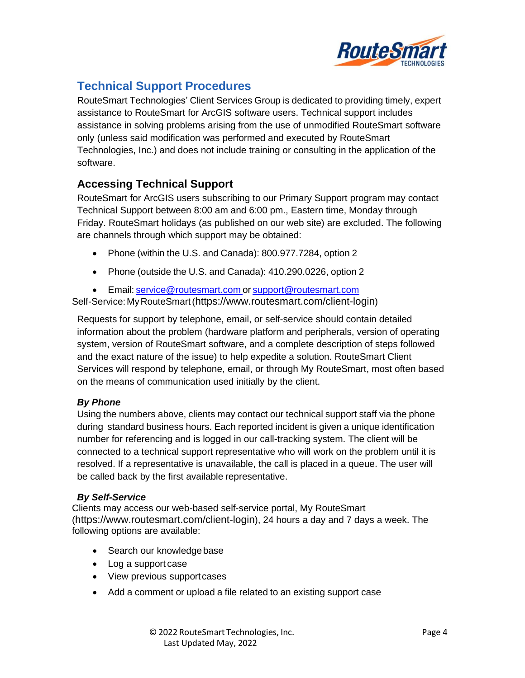

# <span id="page-3-0"></span>**Technical Support Procedures**

RouteSmart Technologies' Client Services Group is dedicated to providing timely, expert assistance to RouteSmart for ArcGIS software users. Technical support includes assistance in solving problems arising from the use of unmodified RouteSmart software only (unless said modification was performed and executed by RouteSmart Technologies, Inc.) and does not include training or consulting in the application of the software.

#### <span id="page-3-1"></span>**Accessing Technical Support**

RouteSmart for ArcGIS users subscribing to our Primary Support program may contact Technical Support between 8:00 am and 6:00 pm., Eastern time, Monday through Friday. RouteSmart holidays (as published on our web site) are excluded. The following are channels through which support may be obtained:

- Phone (within the U.S. and Canada): 800.977.7284, option 2
- Phone (outside the U.S. and Canada): 410.290.0226, option 2
- Email: [service@routesmart.com](mailto:service@routesmart.comor) or [support@routesmart.com](mailto:support@routesmart.com)

Self-Service:MyRouteSmart([https://www.routesmart.com/client-login](https://nam12.safelinks.protection.outlook.com/?url=https%3A%2F%2Fwww.routesmart.com%2Fclient-login&data=05%7C01%7Ccwalz%40routesmart.com%7Cdc0d7380195c4f1e42a808da247ecb53%7C3e0f409e1b2b46258459b20ed6286bc9%7C0%7C0%7C637862424260644437%7CUnknown%7CTWFpbGZsb3d8eyJWIjoiMC4wLjAwMDAiLCJQIjoiV2luMzIiLCJBTiI6Ik1haWwiLCJXVCI6Mn0%3D%7C3000%7C%7C%7C&sdata=VlaLS2%2FLf%2Bo29vLBgCXW%2B4odqIoCibTLdp2m7dPpyo0%3D&reserved=0))

Requests for support by telephone, email, or self-service should contain detailed information about the problem (hardware platform and peripherals, version of operating system, version of RouteSmart software, and a complete description of steps followed and the exact nature of the issue) to help expedite a solution. RouteSmart Client Services will respond by telephone, email, or through My RouteSmart, most often based on the means of communication used initially by the client.

#### <span id="page-3-2"></span>*By Phone*

Using the numbers above, clients may contact our technical support staff via the phone during standard business hours. Each reported incident is given a unique identification number for referencing and is logged in our call-tracking system. The client will be connected to a technical support representative who will work on the problem until it is resolved. If a representative is unavailable, the call is placed in a queue. The user will be called back by the first available representative.

#### <span id="page-3-3"></span>*By Self-Service*

Clients may access our web-based self-service portal, My RouteSmart ([https://www.routesmart.com/client-login](https://nam12.safelinks.protection.outlook.com/?url=https%3A%2F%2Fwww.routesmart.com%2Fclient-login&data=05%7C01%7Ccwalz%40routesmart.com%7Cdc0d7380195c4f1e42a808da247ecb53%7C3e0f409e1b2b46258459b20ed6286bc9%7C0%7C0%7C637862424260644437%7CUnknown%7CTWFpbGZsb3d8eyJWIjoiMC4wLjAwMDAiLCJQIjoiV2luMzIiLCJBTiI6Ik1haWwiLCJXVCI6Mn0%3D%7C3000%7C%7C%7C&sdata=VlaLS2%2FLf%2Bo29vLBgCXW%2B4odqIoCibTLdp2m7dPpyo0%3D&reserved=0)), 24 hours a day and 7 days a week. The following options are available:

- Search our knowledge base
- Log a support case
- View previous supportcases
- Add a comment or upload a file related to an existing support case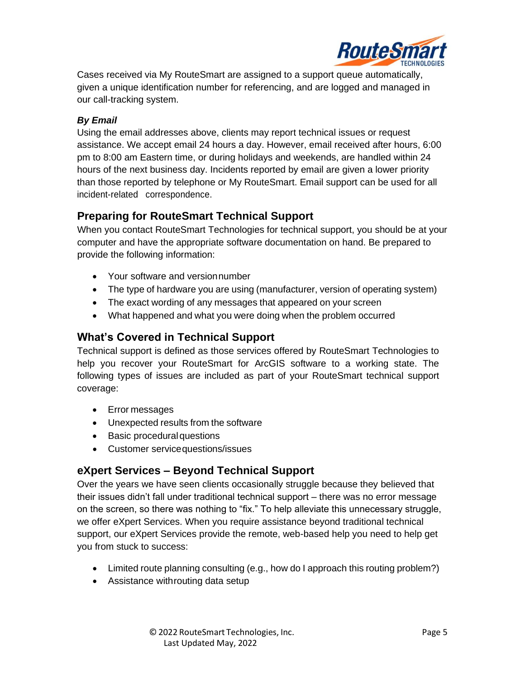

Cases received via My RouteSmart are assigned to a support queue automatically, given a unique identification number for referencing, and are logged and managed in our call-tracking system.

#### <span id="page-4-0"></span>*By Email*

Using the email addresses above, clients may report technical issues or request assistance. We accept email 24 hours a day. However, email received after hours, 6:00 pm to 8:00 am Eastern time, or during holidays and weekends, are handled within 24 hours of the next business day. Incidents reported by email are given a lower priority than those reported by telephone or My RouteSmart. Email support can be used for all incident-related correspondence.

#### <span id="page-4-1"></span>**Preparing for RouteSmart Technical Support**

When you contact RouteSmart Technologies for technical support, you should be at your computer and have the appropriate software documentation on hand. Be prepared to provide the following information:

- Your software and versionnumber
- The type of hardware you are using (manufacturer, version of operating system)
- The exact wording of any messages that appeared on your screen
- What happened and what you were doing when the problem occurred

#### <span id="page-4-2"></span>**What's Covered in Technical Support**

Technical support is defined as those services offered by RouteSmart Technologies to help you recover your RouteSmart for ArcGIS software to a working state. The following types of issues are included as part of your RouteSmart technical support coverage:

- Error messages
- Unexpected results from the software
- Basic procedural questions
- Customer servicequestions/issues

## <span id="page-4-3"></span>**eXpert Services – Beyond Technical Support**

Over the years we have seen clients occasionally struggle because they believed that their issues didn't fall under traditional technical support – there was no error message on the screen, so there was nothing to "fix." To help alleviate this unnecessary struggle, we offer eXpert Services. When you require assistance beyond traditional technical support, our eXpert Services provide the remote, web-based help you need to help get you from stuck to success:

- Limited route planning consulting (e.g., how do I approach this routing problem?)
- Assistance withrouting data setup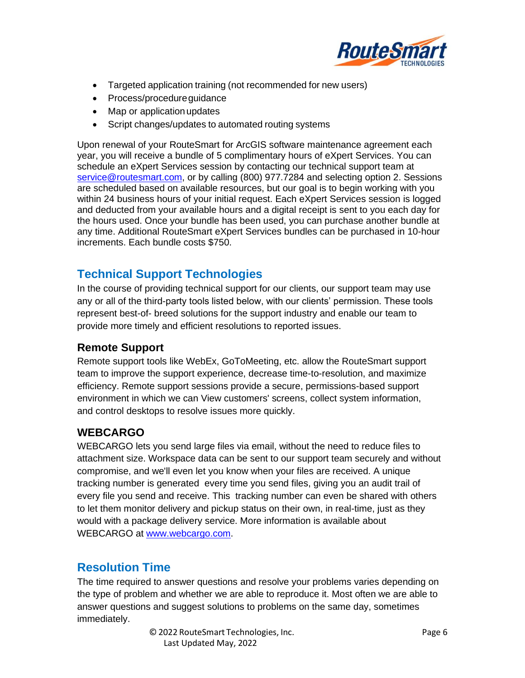

- Targeted application training (not recommended for new users)
- Process/procedureguidance
- Map or application updates
- Script changes/updates to automated routing systems

Upon renewal of your RouteSmart for ArcGIS software maintenance agreement each year, you will receive a bundle of 5 complimentary hours of eXpert Services. You can schedule an eXpert Services session by contacting our technical support team at [service@routesmart.com,](mailto:service@routesmart.com) or by calling (800) 977.7284 and selecting option 2. Sessions are scheduled based on available resources, but our goal is to begin working with you within 24 business hours of your initial request. Each eXpert Services session is logged and deducted from your available hours and a digital receipt is sent to you each day for the hours used. Once your bundle has been used, you can purchase another bundle at any time. Additional RouteSmart eXpert Services bundles can be purchased in 10-hour increments. Each bundle costs \$750.

# <span id="page-5-0"></span>**Technical Support Technologies**

In the course of providing technical support for our clients, our support team may use any or all of the third-party tools listed below, with our clients' permission. These tools represent best-of- breed solutions for the support industry and enable our team to provide more timely and efficient resolutions to reported issues.

#### **Remote Support**

Remote support tools like WebEx, GoToMeeting, etc. allow the RouteSmart support team to improve the support experience, decrease time-to-resolution, and maximize efficiency. Remote support sessions provide a secure, permissions-based support environment in which we can View customers' screens, collect system information, and control desktops to resolve issues more quickly.

## <span id="page-5-1"></span>**WEBCARGO**

WEBCARGO lets you send large files via email, without the need to reduce files to attachment size. Workspace data can be sent to our support team securely and without compromise, and we'll even let you know when your files are received. A unique tracking number is generated every time you send files, giving you an audit trail of every file you send and receive. This tracking number can even be shared with others to let them monitor delivery and pickup status on their own, in real-time, just as they would with a package delivery service. More information is available about WEBCARGO at [www.webcargo.com.](http://www.webcargo.com/)

## <span id="page-5-2"></span>**Resolution Time**

The time required to answer questions and resolve your problems varies depending on the type of problem and whether we are able to reproduce it. Most often we are able to answer questions and suggest solutions to problems on the same day, sometimes immediately.